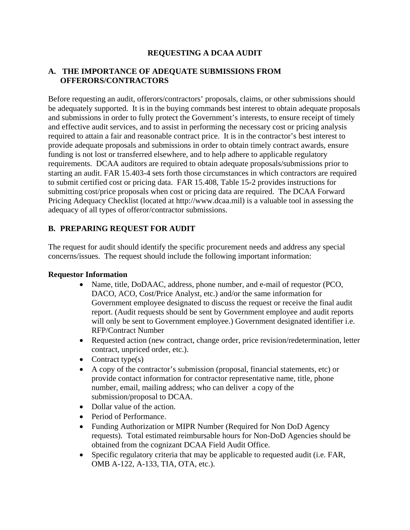## **REQUESTING A DCAA AUDIT**

#### **A. THE IMPORTANCE OF ADEQUATE SUBMISSIONS FROM OFFERORS/CONTRACTORS**

Before requesting an audit, offerors/contractors' proposals, claims, or other submissions should be adequately supported. It is in the buying commands best interest to obtain adequate proposals and submissions in order to fully protect the Government's interests, to ensure receipt of timely and effective audit services, and to assist in performing the necessary cost or pricing analysis required to attain a fair and reasonable contract price. It is in the contractor's best interest to provide adequate proposals and submissions in order to obtain timely contract awards, ensure funding is not lost or transferred elsewhere, and to help adhere to applicable regulatory requirements. DCAA auditors are required to obtain adequate proposals/submissions prior to starting an audit. FAR 15.403-4 sets forth those circumstances in which contractors are required to submit certified cost or pricing data. FAR 15.408, Table 15-2 provides instructions for submitting cost/price proposals when cost or pricing data are required. The DCAA Forward Pricing Adequacy Checklist (located at http://www.dcaa.mil) is a valuable tool in assessing the adequacy of all types of offeror/contractor submissions.

## **B. PREPARING REQUEST FOR AUDIT**

The request for audit should identify the specific procurement needs and address any special concerns/issues. The request should include the following important information:

#### **Requestor Information**

- Name, title, DoDAAC, address, phone number, and e-mail of requestor (PCO, DACO, ACO, Cost/Price Analyst, etc.) and/or the same information for Government employee designated to discuss the request or receive the final audit report. (Audit requests should be sent by Government employee and audit reports will only be sent to Government employee.) Government designated identifier *i.e.* RFP/Contract Number
- Requested action (new contract, change order, price revision/redetermination, letter contract, unpriced order, etc.).
- Contract type(s)
- A copy of the contractor's submission (proposal, financial statements, etc) or provide contact information for contractor representative name, title, phone number, email, mailing address; who can deliver a copy of the submission/proposal to DCAA.
- Dollar value of the action.
- Period of Performance.
- Funding Authorization or MIPR Number (Required for Non DoD Agency requests). Total estimated reimbursable hours for Non-DoD Agencies should be obtained from the cognizant DCAA Field Audit Office.
- Specific regulatory criteria that may be applicable to requested audit (i.e. FAR, OMB A-122, A-133, TIA, OTA, etc.).